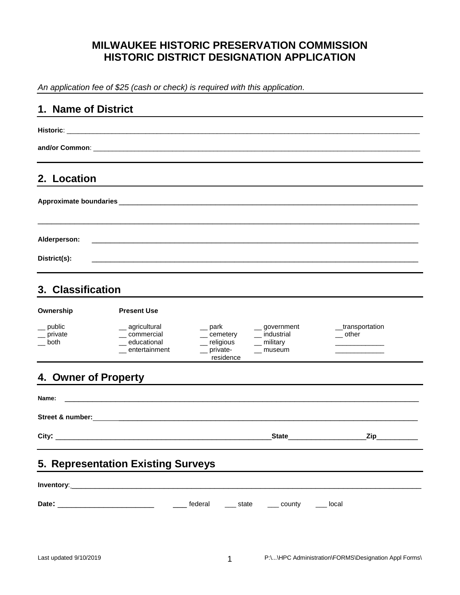## **MILWAUKEE HISTORIC PRESERVATION COMMISSION HISTORIC DISTRICT DESIGNATION APPLICATION**

*An application fee of \$25 (cash or check) is required with this application.*

| 1. Name of District         |                                                                    |                                                                     |                                                                                        |                                         |
|-----------------------------|--------------------------------------------------------------------|---------------------------------------------------------------------|----------------------------------------------------------------------------------------|-----------------------------------------|
|                             |                                                                    |                                                                     |                                                                                        |                                         |
|                             |                                                                    |                                                                     |                                                                                        |                                         |
| 2. Location                 |                                                                    |                                                                     |                                                                                        |                                         |
|                             |                                                                    |                                                                     |                                                                                        |                                         |
| Alderperson:                |                                                                    |                                                                     |                                                                                        |                                         |
| District(s):                |                                                                    |                                                                     |                                                                                        |                                         |
| 3. Classification           |                                                                    |                                                                     |                                                                                        |                                         |
| Ownership                   | <b>Present Use</b>                                                 |                                                                     |                                                                                        |                                         |
| _ public<br>private<br>both | _ agricultural<br>_ commercial<br>_ educational<br>_ entertainment | $-$ park<br>__ cemetery<br>_ religious<br>$-$ private-<br>residence | $\equiv$ government<br>__ industrial<br>$\frac{1}{2}$ military<br>$\frac{1}{2}$ museum | _transportation<br>__ other             |
| 4. Owner of Property        |                                                                    |                                                                     |                                                                                        |                                         |
| Name:                       |                                                                    |                                                                     |                                                                                        |                                         |
|                             |                                                                    |                                                                     |                                                                                        |                                         |
|                             |                                                                    |                                                                     |                                                                                        | State <b>State</b><br>_Zip_____________ |
|                             | 5. Representation Existing Surveys                                 |                                                                     |                                                                                        |                                         |
|                             |                                                                    |                                                                     |                                                                                        |                                         |
|                             |                                                                    |                                                                     |                                                                                        |                                         |
|                             |                                                                    |                                                                     |                                                                                        |                                         |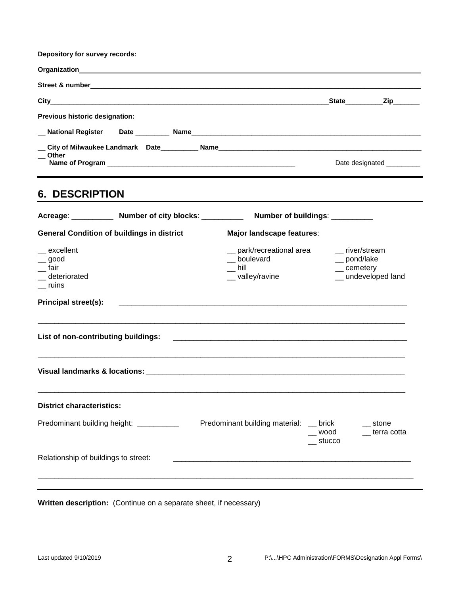| Depository for survey records:        |                             |
|---------------------------------------|-----------------------------|
|                                       |                             |
|                                       |                             |
|                                       | _State___________Zip_______ |
| <b>Previous historic designation:</b> |                             |
|                                       |                             |
|                                       |                             |
| Other                                 | Date designated __________  |

## **6. DESCRIPTION**

|                                                               |                                                   | Acreage: _____________ Number of city blocks: _____________ Number of buildings: __________ |                         |                                                                          |
|---------------------------------------------------------------|---------------------------------------------------|---------------------------------------------------------------------------------------------|-------------------------|--------------------------------------------------------------------------|
|                                                               | <b>General Condition of buildings in district</b> | Major landscape features:                                                                   |                         |                                                                          |
| _excellent<br>$\gtrsim$ good<br>fair<br>deteriorated<br>ruins |                                                   | __ park/recreational area<br>_boulevard<br>$\equiv$ hill<br>__ valley/ravine                |                         | __ river/stream<br>__ pond/lake<br>$\_\_$ cemetery<br>_ undeveloped land |
| <b>Principal street(s):</b>                                   |                                                   |                                                                                             |                         |                                                                          |
| List of non-contributing buildings:                           |                                                   |                                                                                             |                         |                                                                          |
|                                                               |                                                   |                                                                                             |                         |                                                                          |
| <b>District characteristics:</b>                              |                                                   |                                                                                             |                         |                                                                          |
|                                                               | Predominant building height: __________           | Predominant building material: __ brick                                                     | $\equiv$ wood<br>stucco | stone<br>$\overline{\phantom{a}}$ terra cotta                            |
| Relationship of buildings to street:                          |                                                   |                                                                                             |                         |                                                                          |
|                                                               |                                                   |                                                                                             |                         |                                                                          |

**Written description:** (Continue on a separate sheet, if necessary)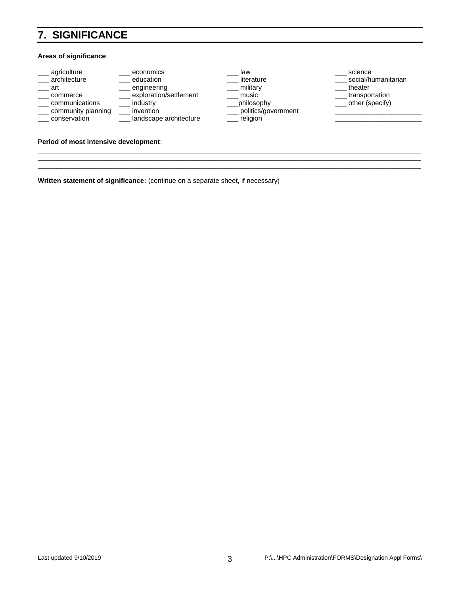# **7. SIGNIFICANCE**

#### **Areas of significance**:

| agriculture        | economics              | law                 | science             |
|--------------------|------------------------|---------------------|---------------------|
| architecture       | education              | literature          | social/humanitarian |
| art                | engineering            | military            | theater             |
| commerce           | exploration/settlement | music               | transportation      |
| communications     | industry               | philosophy          | other (specify)     |
| community planning | invention              | politics/government |                     |
| conservation       | landscape architecture | religion            |                     |
|                    |                        |                     |                     |
|                    |                        |                     |                     |

\_\_\_\_\_\_\_\_\_\_\_\_\_\_\_\_\_\_\_\_\_\_\_\_\_\_\_\_\_\_\_\_\_\_\_\_\_\_\_\_\_\_\_\_\_\_\_\_\_\_\_\_\_\_\_\_\_\_\_\_\_\_\_\_\_\_\_\_\_\_\_\_\_\_\_\_\_\_\_\_\_\_\_\_\_\_\_\_\_\_\_\_\_\_\_\_\_\_\_\_\_\_ \_\_\_\_\_\_\_\_\_\_\_\_\_\_\_\_\_\_\_\_\_\_\_\_\_\_\_\_\_\_\_\_\_\_\_\_\_\_\_\_\_\_\_\_\_\_\_\_\_\_\_\_\_\_\_\_\_\_\_\_\_\_\_\_\_\_\_\_\_\_\_\_\_\_\_\_\_\_\_\_\_\_\_\_\_\_\_\_\_\_\_\_\_\_\_\_\_\_\_\_\_\_ \_\_\_\_\_\_\_\_\_\_\_\_\_\_\_\_\_\_\_\_\_\_\_\_\_\_\_\_\_\_\_\_\_\_\_\_\_\_\_\_\_\_\_\_\_\_\_\_\_\_\_\_\_\_\_\_\_\_\_\_\_\_\_\_\_\_\_\_\_\_\_\_\_\_\_\_\_\_\_\_\_\_\_\_\_\_\_\_\_\_\_\_\_\_\_\_\_\_\_\_\_\_

### **Period of most intensive development**:

**Written statement of significance:** (continue on a separate sheet, if necessary)